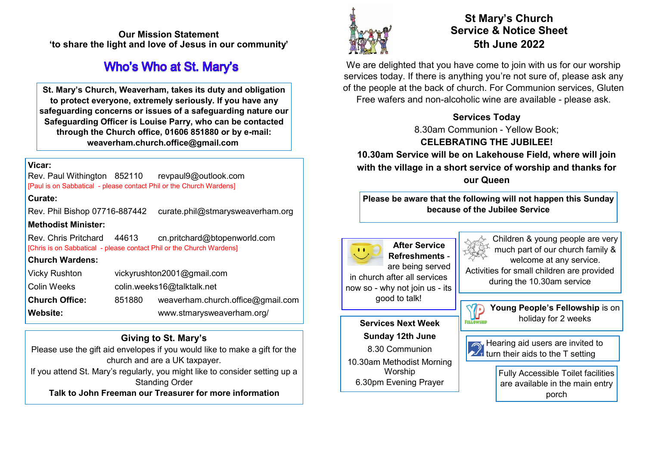**Our Mission Statement 'to share the light and love of Jesus in our community'** 

## **Who's Who at St. Mary's**

**St. Mary's Church, Weaverham, takes its duty and obligation to protect everyone, extremely seriously. If you have any safeguarding concerns or issues of a safeguarding nature our Safeguarding Officer is Louise Parry, who can be contacted through the Church office, 01606 851880 or by e-mail: weaverham.church.office@gmail.com**

### **Vicar:**

Rev. Paul Withington 852110 revpaul9@outlook.com [Paul is on Sabbatical - please contact Phil or the Church Wardens]

### **Curate:**

Rev. Phil Bishop 07716-887442 curate.phil@stmarysweaverham.org **Methodist Minister:**

Rev. Chris Pritchard 44613 cn.pritchard@btopenworld.com [Chris is on Sabbatical - please contact Phil or the Church Wardens]

### **Church Wardens:**

| <b>Vicky Rushton</b>  | vickyrushton2001@gmail.com |                                   |
|-----------------------|----------------------------|-----------------------------------|
| <b>Colin Weeks</b>    | colin.weeks16@talktalk.net |                                   |
| <b>Church Office:</b> | 851880                     | weaverham.church.office@gmail.com |
| <b>Website:</b>       |                            | www.stmarysweaverham.org/         |

## **Giving to St. Mary's**

Please use the gift aid envelopes if you would like to make a gift for the church and are a UK taxpayer.

If you attend St. Mary's regularly, you might like to consider setting up a Standing Order

**Talk to John Freeman our Treasurer for more information**



## **St Mary's Church Service & Notice Sheet 5th June 2022**

We are delighted that you have come to join with us for our worship services today. If there is anything you're not sure of, please ask any of the people at the back of church. For Communion services, Gluten Free wafers and non-alcoholic wine are available - please ask.

### **Services Today**

8.30am Communion - Yellow Book;

### **CELEBRATING THE JUBILEE!**

**10.30am Service will be on Lakehouse Field, where will join with the village in a short service of worship and thanks for our Queen**

**Please be aware that the following will not happen this Sunday because of the Jubilee Service**



Children & young people are very much part of our church family & welcome at any service. Activities for small children are provided during the 10.30am service

**Young People's Fellowship** is on



Hearing aid users are invited to turn their aids to the T setting

10.30am Methodist Morning Worship 6.30pm Evening Prayer

8.30 Communion

Fully Accessible Toilet facilities are available in the main entry porch